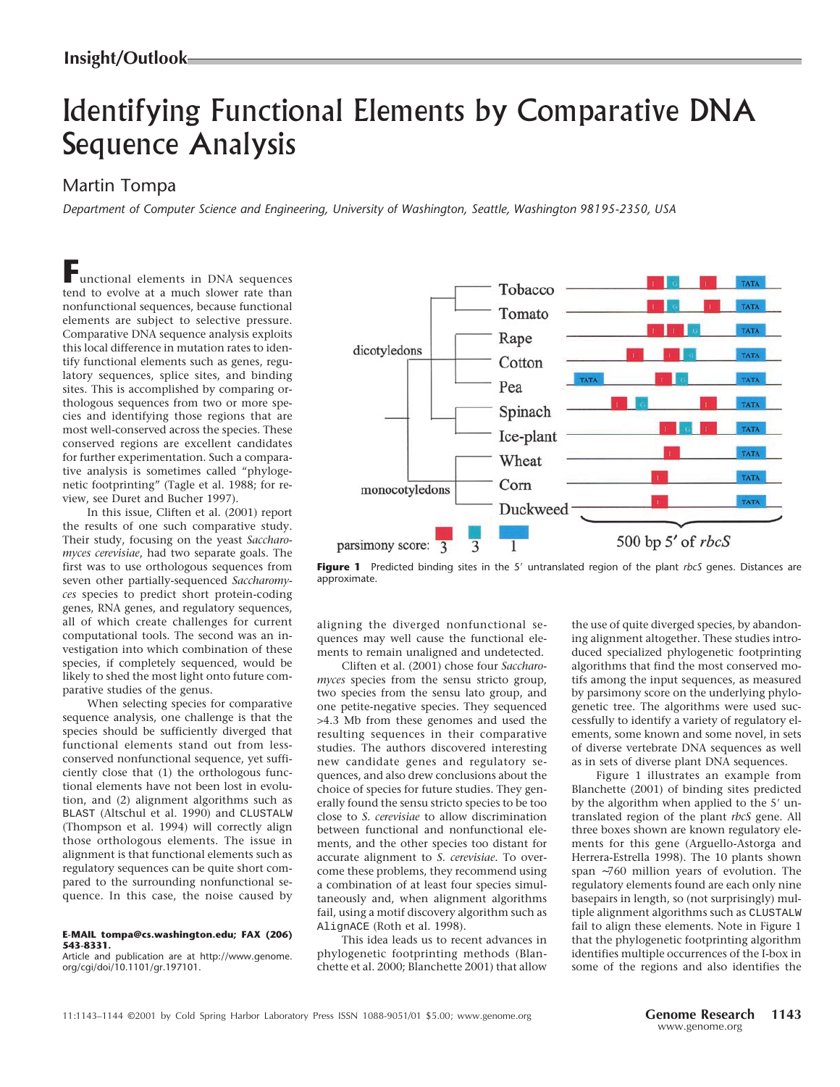## Identifying Functional Elements by Comparative DNA Sequence Analysis

## Martin Tompa

*Department of Computer Science and Engineering, University of Washington, Seattle, Washington 98195-2350, USA*

**F**unctional elements in DNA sequences tend to evolve at a much slower rate than nonfunctional sequences, because functional elements are subject to selective pressure. Comparative DNA sequence analysis exploits this local difference in mutation rates to identify functional elements such as genes, regulatory sequences, splice sites, and binding sites. This is accomplished by comparing orthologous sequences from two or more species and identifying those regions that are most well-conserved across the species. These conserved regions are excellent candidates for further experimentation. Such a comparative analysis is sometimes called "phylogenetic footprinting" (Tagle et al. 1988; for review, see Duret and Bucher 1997).

In this issue, Cliften et al. (2001) report the results of one such comparative study. Their study, focusing on the yeast *Saccharomyces cerevisiae*, had two separate goals. The first was to use orthologous sequences from seven other partially-sequenced *Saccharomyces* species to predict short protein-coding genes, RNA genes, and regulatory sequences, all of which create challenges for current computational tools. The second was an investigation into which combination of these species, if completely sequenced, would be likely to shed the most light onto future comparative studies of the genus.

When selecting species for comparative sequence analysis, one challenge is that the species should be sufficiently diverged that functional elements stand out from lessconserved nonfunctional sequence, yet sufficiently close that (1) the orthologous functional elements have not been lost in evolution, and (2) alignment algorithms such as BLAST (Altschul et al. 1990) and CLUSTALW (Thompson et al. 1994) will correctly align those orthologous elements. The issue in alignment is that functional elements such as regulatory sequences can be quite short compared to the surrounding nonfunctional sequence. In this case, the noise caused by

## **E-MAIL tompa@cs.washington.edu; FAX (206) 543-8331.**

Article and publication are at http://www.genome. org/cgi/doi/10.1101/gr.197101.



Figure 1 Predicted binding sites in the 5' untranslated region of the plant *rbcS* genes. Distances are approximate.

aligning the diverged nonfunctional sequences may well cause the functional elements to remain unaligned and undetected.

Cliften et al. (2001) chose four *Saccharomyces* species from the sensu stricto group, two species from the sensu lato group, and one petite-negative species. They sequenced >4.3 Mb from these genomes and used the resulting sequences in their comparative studies. The authors discovered interesting new candidate genes and regulatory sequences, and also drew conclusions about the choice of species for future studies. They generally found the sensu stricto species to be too close to *S. cerevisiae* to allow discrimination between functional and nonfunctional elements, and the other species too distant for accurate alignment to *S. cerevisiae*. To overcome these problems, they recommend using a combination of at least four species simultaneously and, when alignment algorithms fail, using a motif discovery algorithm such as AlignACE (Roth et al. 1998).

This idea leads us to recent advances in phylogenetic footprinting methods (Blanchette et al. 2000; Blanchette 2001) that allow the use of quite diverged species, by abandoning alignment altogether. These studies introduced specialized phylogenetic footprinting algorithms that find the most conserved motifs among the input sequences, as measured by parsimony score on the underlying phylogenetic tree. The algorithms were used successfully to identify a variety of regulatory elements, some known and some novel, in sets of diverse vertebrate DNA sequences as well as in sets of diverse plant DNA sequences.

Figure 1 illustrates an example from Blanchette (2001) of binding sites predicted by the algorithm when applied to the 5' untranslated region of the plant *rbcS* gene. All three boxes shown are known regulatory elements for this gene (Arguello-Astorga and Herrera-Estrella 1998). The 10 plants shown span ∼760 million years of evolution. The regulatory elements found are each only nine basepairs in length, so (not surprisingly) multiple alignment algorithms such as CLUSTALW fail to align these elements. Note in Figure 1 that the phylogenetic footprinting algorithm identifies multiple occurrences of the I-box in some of the regions and also identifies the